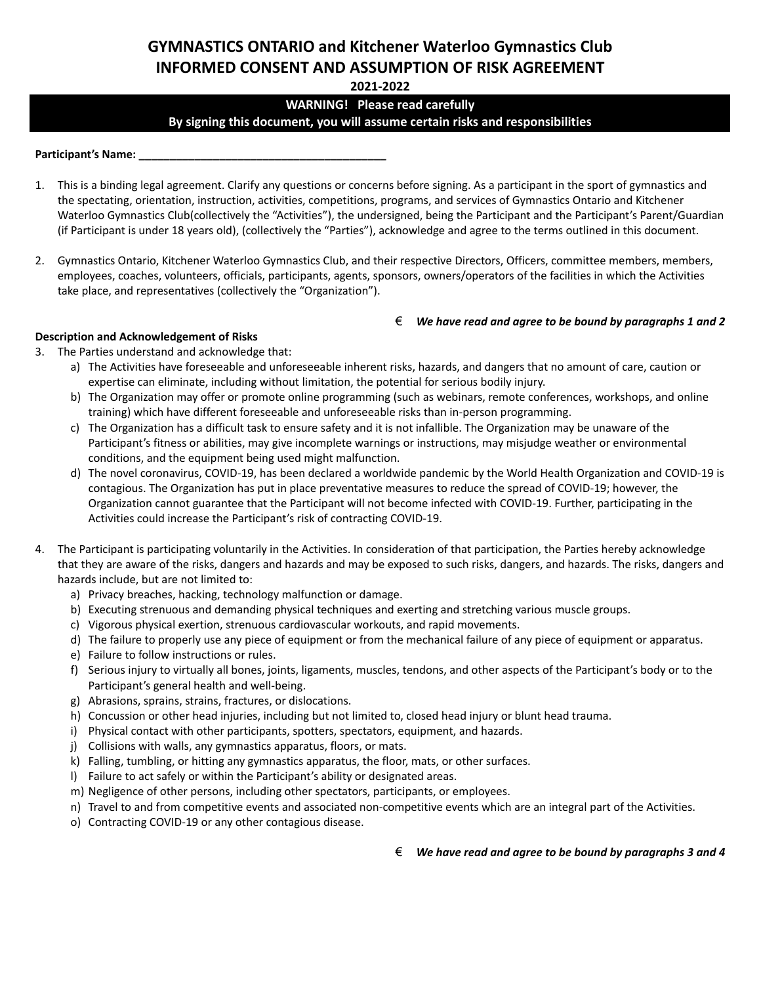# **GYMNASTICS ONTARIO and Kitchener Waterloo Gymnastics Club INFORMED CONSENT AND ASSUMPTION OF RISK AGREEMENT**

**2021-2022**

# **WARNING! Please read carefully By signing this document, you will assume certain risks and responsibilities**

**Participant's Name: \_\_\_\_\_\_\_\_\_\_\_\_\_\_\_\_\_\_\_\_\_\_\_\_\_\_\_\_\_\_\_\_\_\_\_\_\_\_\_\_**

- 1. This is a binding legal agreement. Clarify any questions or concerns before signing. As a participant in the sport of gymnastics and the spectating, orientation, instruction, activities, competitions, programs, and services of Gymnastics Ontario and Kitchener Waterloo Gymnastics Club(collectively the "Activities"), the undersigned, being the Participant and the Participant's Parent/Guardian (if Participant is under 18 years old), (collectively the "Parties"), acknowledge and agree to the terms outlined in this document.
- 2. Gymnastics Ontario, Kitchener Waterloo Gymnastics Club, and their respective Directors, Officers, committee members, members, employees, coaches, volunteers, officials, participants, agents, sponsors, owners/operators of the facilities in which the Activities take place, and representatives (collectively the "Organization").

## € *We have read and agree to be bound by paragraphs 1 and 2*

## **Description and Acknowledgement of Risks**

- 3. The Parties understand and acknowledge that:
	- a) The Activities have foreseeable and unforeseeable inherent risks, hazards, and dangers that no amount of care, caution or expertise can eliminate, including without limitation, the potential for serious bodily injury.
	- b) The Organization may offer or promote online programming (such as webinars, remote conferences, workshops, and online training) which have different foreseeable and unforeseeable risks than in-person programming.
	- c) The Organization has a difficult task to ensure safety and it is not infallible. The Organization may be unaware of the Participant's fitness or abilities, may give incomplete warnings or instructions, may misjudge weather or environmental conditions, and the equipment being used might malfunction.
	- d) The novel coronavirus, COVID-19, has been declared a worldwide pandemic by the World Health Organization and COVID-19 is contagious. The Organization has put in place preventative measures to reduce the spread of COVID-19; however, the Organization cannot guarantee that the Participant will not become infected with COVID-19. Further, participating in the Activities could increase the Participant's risk of contracting COVID-19.
- 4. The Participant is participating voluntarily in the Activities. In consideration of that participation, the Parties hereby acknowledge that they are aware of the risks, dangers and hazards and may be exposed to such risks, dangers, and hazards. The risks, dangers and hazards include, but are not limited to:
	- a) Privacy breaches, hacking, technology malfunction or damage.
	- b) Executing strenuous and demanding physical techniques and exerting and stretching various muscle groups.
	- c) Vigorous physical exertion, strenuous cardiovascular workouts, and rapid movements.
	- d) The failure to properly use any piece of equipment or from the mechanical failure of any piece of equipment or apparatus.
	- e) Failure to follow instructions or rules.
	- f) Serious injury to virtually all bones, joints, ligaments, muscles, tendons, and other aspects of the Participant's body or to the Participant's general health and well-being.
	- g) Abrasions, sprains, strains, fractures, or dislocations.
	- h) Concussion or other head injuries, including but not limited to, closed head injury or blunt head trauma.
	- i) Physical contact with other participants, spotters, spectators, equipment, and hazards.
	- j) Collisions with walls, any gymnastics apparatus, floors, or mats.
	- k) Falling, tumbling, or hitting any gymnastics apparatus, the floor, mats, or other surfaces.
	- l) Failure to act safely or within the Participant's ability or designated areas.
	- m) Negligence of other persons, including other spectators, participants, or employees.
	- n) Travel to and from competitive events and associated non-competitive events which are an integral part of the Activities.
	- o) Contracting COVID-19 or any other contagious disease.

€ *We have read and agree to be bound by paragraphs 3 and 4*